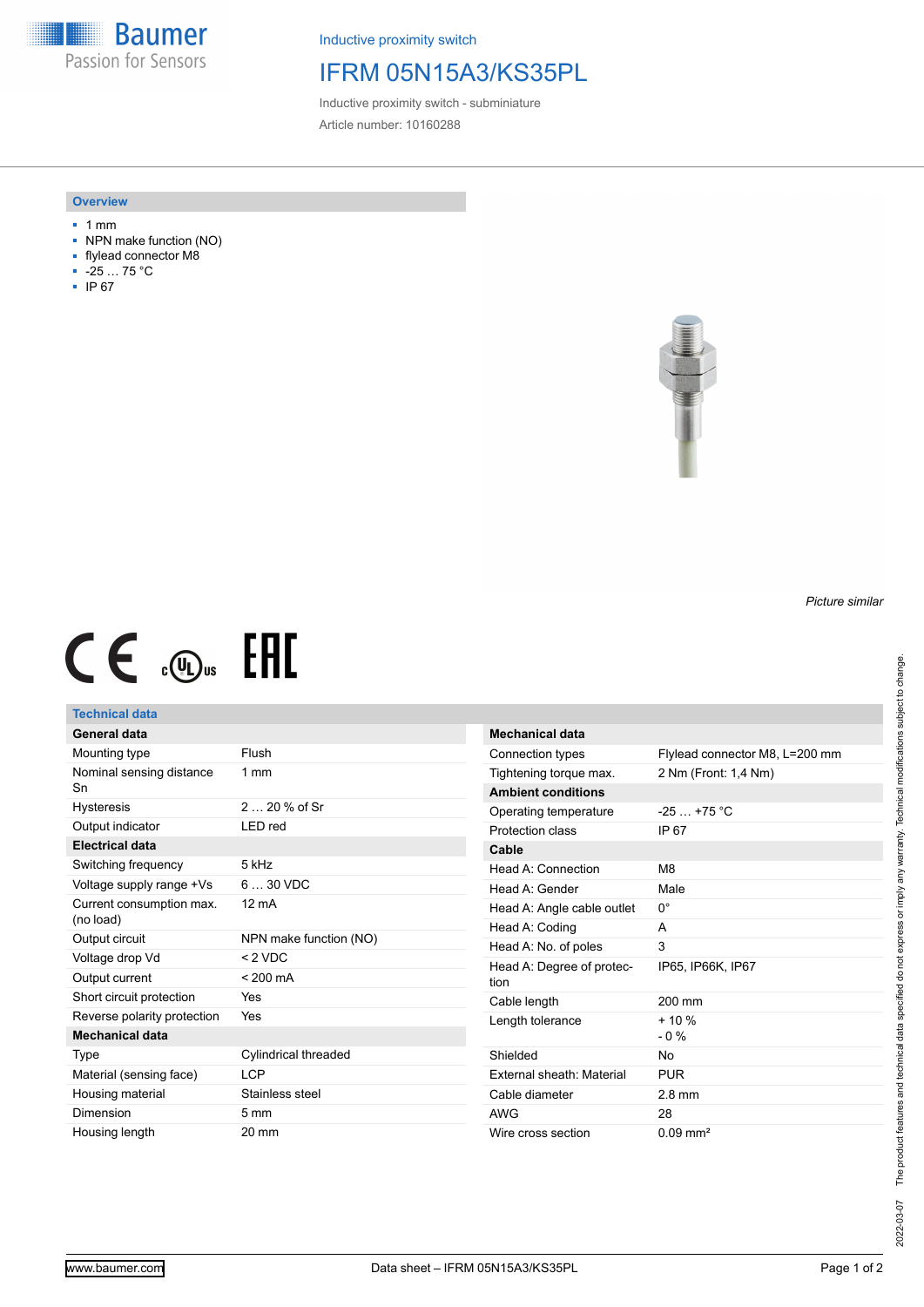**Baumer** Passion for Sensors

Inductive proximity switch

## IFRM 05N15A3/KS35PL

Inductive proximity switch - subminiature Article number: 10160288

#### **Overview**

- 1 mm
- NPN make function (NO)
- flylead connector M8
- -25 … 75 °C
- IP 67



# $CE \oplus E$

### **Technical data**

| General data                          |                        |
|---------------------------------------|------------------------|
| Mounting type                         | Flush                  |
| Nominal sensing distance<br>Sn        | $1 \text{ mm}$         |
| Hysteresis                            | 2 $20%$ of Sr          |
| Output indicator                      | LED red                |
| Electrical data                       |                        |
| Switching frequency                   | 5 kHz                  |
| Voltage supply range +Vs              | $630$ VDC              |
| Current consumption max.<br>(no load) | $12 \text{ mA}$        |
| Output circuit                        | NPN make function (NO) |
|                                       |                        |
| Voltage drop Vd                       | $< 2$ VDC              |
| Output current                        | $< 200 \text{ mA}$     |
| Short circuit protection              | Yes                    |
| Reverse polarity protection           | Yes                    |
| Mechanical data                       |                        |
| Type                                  | Cylindrical threaded   |
| Material (sensing face)               | LCP                    |
| Housing material                      | Stainless steel        |
| Dimension                             | $5 \text{ mm}$         |

| <b>Mechanical data</b>            |                                |
|-----------------------------------|--------------------------------|
| Connection types                  | Flylead connector M8, L=200 mm |
| Tightening torque max.            | 2 Nm (Front: 1,4 Nm)           |
| <b>Ambient conditions</b>         |                                |
| Operating temperature             | $-25+75$ °C                    |
| Protection class                  | IP 67                          |
| Cable                             |                                |
| Head A: Connection                | M8                             |
| Head A: Gender                    | Male                           |
| Head A: Angle cable outlet        | 0°                             |
| Head A: Coding                    | А                              |
| Head A: No. of poles              | 3                              |
| Head A: Degree of protec-<br>tion | IP65, IP66K, IP67              |
| Cable length                      | 200 mm                         |
| Length tolerance                  | $+10%$<br>$-0\%$               |
| Shielded                          | Nο                             |
| <b>External sheath: Material</b>  | <b>PUR</b>                     |
| Cable diameter                    | $2.8 \text{ mm}$               |
| AWG                               | 28                             |
| Wire cross section                | $0.09$ mm <sup>2</sup>         |